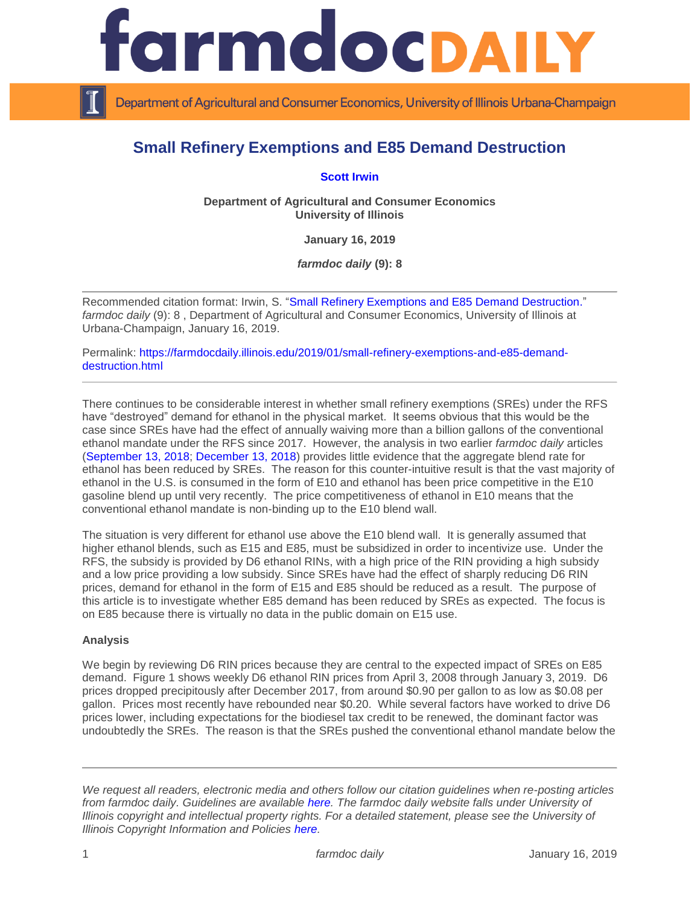

Department of Agricultural and Consumer Economics, University of Illinois Urbana-Champaign

## **Small Refinery Exemptions and E85 Demand Destruction**

**[Scott Irwin](http://www.farmdoc.illinois.edu/irwin/)**

**Department of Agricultural and Consumer Economics University of Illinois**

**January 16, 2019**

*farmdoc daily* **(9): 8**

Recommended citation format: Irwin, S. ["Small Refinery Exemptions and E85 Demand Destruction.](https://farmdocdaily.illinois.edu/2019/01/small-refinery-exemptions-and-e85-demand-destruction.html)" *farmdoc daily* (9): 8 , Department of Agricultural and Consumer Economics, University of Illinois at Urbana-Champaign, January 16, 2019.

Permalink: [https://farmdocdaily.illinois.edu/2019/01/small-refinery-exemptions-and-e85-demand](https://farmdocdaily.illinois.edu/2019/01/small-refinery-exemptions-and-e85-demand-destruction.html)[destruction.html](https://farmdocdaily.illinois.edu/2019/01/small-refinery-exemptions-and-e85-demand-destruction.html)

There continues to be considerable interest in whether small refinery exemptions (SREs) under the RFS have "destroyed" demand for ethanol in the physical market. It seems obvious that this would be the case since SREs have had the effect of annually waiving more than a billion gallons of the conventional ethanol mandate under the RFS since 2017. However, the analysis in two earlier *farmdoc daily* articles [\(September 13, 2018;](https://farmdocdaily.illinois.edu/2018/09/small-refinery-exemptions-and-ethanol-demand-destruction.html) [December 13, 2018\)](https://farmdocdaily.illinois.edu/2018/12/more-on-small-refinery-exemptions-and-ethanol-demand-destruction.html) provides little evidence that the aggregate blend rate for ethanol has been reduced by SREs. The reason for this counter-intuitive result is that the vast majority of ethanol in the U.S. is consumed in the form of E10 and ethanol has been price competitive in the E10 gasoline blend up until very recently. The price competitiveness of ethanol in E10 means that the conventional ethanol mandate is non-binding up to the E10 blend wall.

The situation is very different for ethanol use above the E10 blend wall. It is generally assumed that higher ethanol blends, such as E15 and E85, must be subsidized in order to incentivize use. Under the RFS, the subsidy is provided by D6 ethanol RINs, with a high price of the RIN providing a high subsidy and a low price providing a low subsidy. Since SREs have had the effect of sharply reducing D6 RIN prices, demand for ethanol in the form of E15 and E85 should be reduced as a result. The purpose of this article is to investigate whether E85 demand has been reduced by SREs as expected. The focus is on E85 because there is virtually no data in the public domain on E15 use.

## **Analysis**

We begin by reviewing D6 RIN prices because they are central to the expected impact of SREs on E85 demand. Figure 1 shows weekly D6 ethanol RIN prices from April 3, 2008 through January 3, 2019. D6 prices dropped precipitously after December 2017, from around \$0.90 per gallon to as low as \$0.08 per gallon. Prices most recently have rebounded near \$0.20. While several factors have worked to drive D6 prices lower, including expectations for the biodiesel tax credit to be renewed, the dominant factor was undoubtedly the SREs. The reason is that the SREs pushed the conventional ethanol mandate below the

*We request all readers, electronic media and others follow our citation guidelines when re-posting articles from farmdoc daily. Guidelines are available [here.](http://farmdocdaily.illinois.edu/citationguide.html) The farmdoc daily website falls under University of Illinois copyright and intellectual property rights. For a detailed statement, please see the University of Illinois Copyright Information and Policies [here.](http://www.cio.illinois.edu/policies/copyright/)*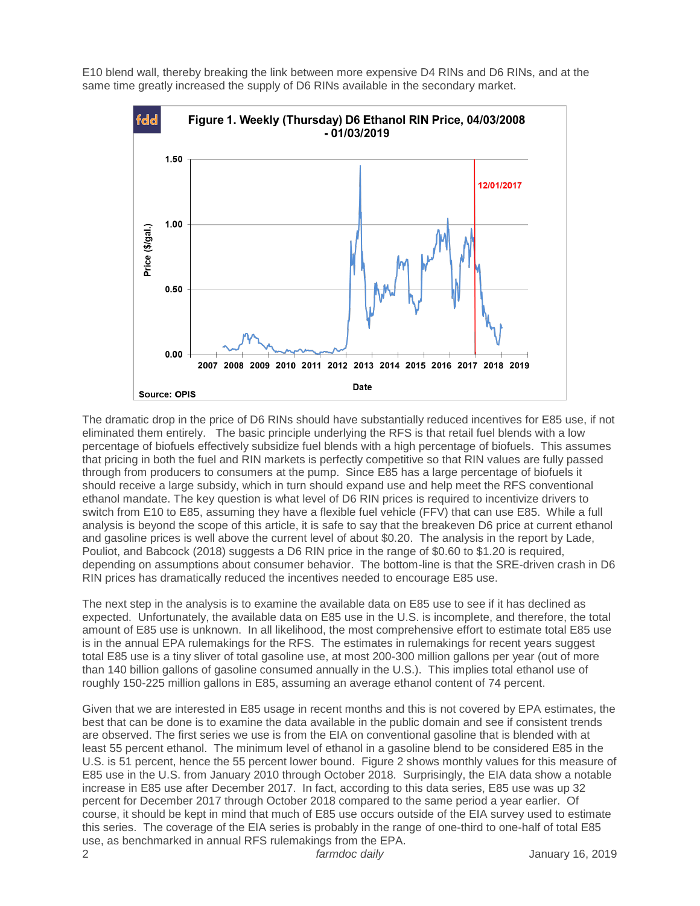E10 blend wall, thereby breaking the link between more expensive D4 RINs and D6 RINs, and at the same time greatly increased the supply of D6 RINs available in the secondary market.



The dramatic drop in the price of D6 RINs should have substantially reduced incentives for E85 use, if not eliminated them entirely. The basic principle underlying the RFS is that retail fuel blends with a low percentage of biofuels effectively subsidize fuel blends with a high percentage of biofuels. This assumes that pricing in both the fuel and RIN markets is perfectly competitive so that RIN values are fully passed through from producers to consumers at the pump. Since E85 has a large percentage of biofuels it should receive a large subsidy, which in turn should expand use and help meet the RFS conventional ethanol mandate. The key question is what level of D6 RIN prices is required to incentivize drivers to switch from E10 to E85, assuming they have a flexible fuel vehicle (FFV) that can use E85. While a full analysis is beyond the scope of this article, it is safe to say that the breakeven D6 price at current ethanol and gasoline prices is well above the current level of about \$0.20. The analysis in the report by Lade, Pouliot, and Babcock (2018) suggests a D6 RIN price in the range of \$0.60 to \$1.20 is required, depending on assumptions about consumer behavior. The bottom-line is that the SRE-driven crash in D6 RIN prices has dramatically reduced the incentives needed to encourage E85 use.

The next step in the analysis is to examine the available data on E85 use to see if it has declined as expected. Unfortunately, the available data on E85 use in the U.S. is incomplete, and therefore, the total amount of E85 use is unknown. In all likelihood, the most comprehensive effort to estimate total E85 use is in the annual EPA rulemakings for the RFS. The estimates in rulemakings for recent years suggest total E85 use is a tiny sliver of total gasoline use, at most 200-300 million gallons per year (out of more than 140 billion gallons of gasoline consumed annually in the U.S.). This implies total ethanol use of roughly 150-225 million gallons in E85, assuming an average ethanol content of 74 percent.

Given that we are interested in E85 usage in recent months and this is not covered by EPA estimates, the best that can be done is to examine the data available in the public domain and see if consistent trends are observed. The first series we use is from the EIA on conventional gasoline that is blended with at least 55 percent ethanol. The minimum level of ethanol in a gasoline blend to be considered E85 in the U.S. is 51 percent, hence the 55 percent lower bound. Figure 2 shows monthly values for this measure of E85 use in the U.S. from January 2010 through October 2018. Surprisingly, the EIA data show a notable increase in E85 use after December 2017. In fact, according to this data series, E85 use was up 32 percent for December 2017 through October 2018 compared to the same period a year earlier. Of course, it should be kept in mind that much of E85 use occurs outside of the EIA survey used to estimate this series. The coverage of the EIA series is probably in the range of one-third to one-half of total E85 use, as benchmarked in annual RFS rulemakings from the EPA.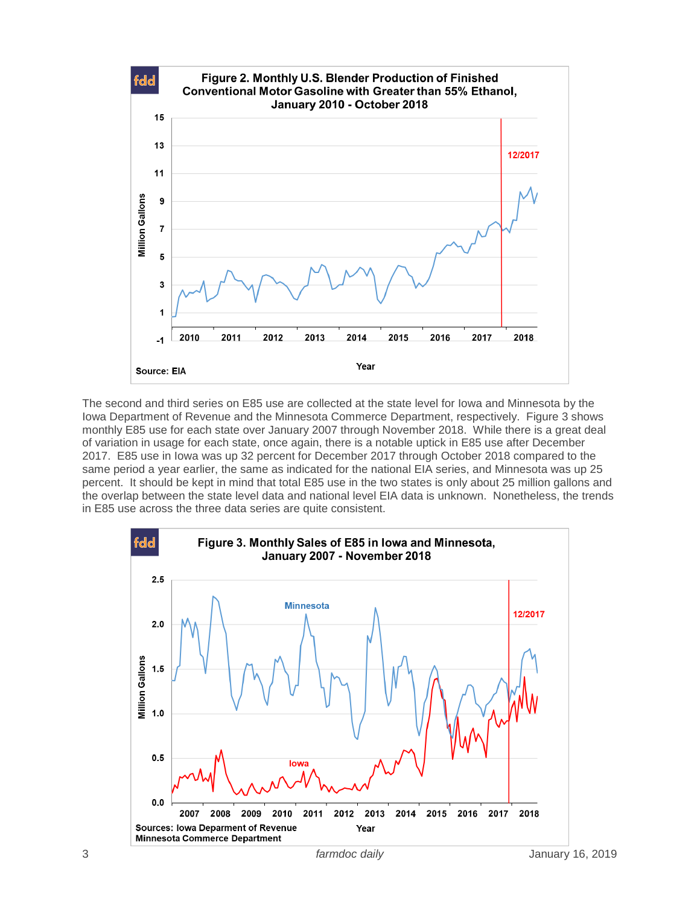

The second and third series on E85 use are collected at the state level for Iowa and Minnesota by the Iowa Department of Revenue and the Minnesota Commerce Department, respectively. Figure 3 shows monthly E85 use for each state over January 2007 through November 2018. While there is a great deal of variation in usage for each state, once again, there is a notable uptick in E85 use after December 2017. E85 use in Iowa was up 32 percent for December 2017 through October 2018 compared to the same period a year earlier, the same as indicated for the national EIA series, and Minnesota was up 25 percent. It should be kept in mind that total E85 use in the two states is only about 25 million gallons and the overlap between the state level data and national level EIA data is unknown. Nonetheless, the trends in E85 use across the three data series are quite consistent.

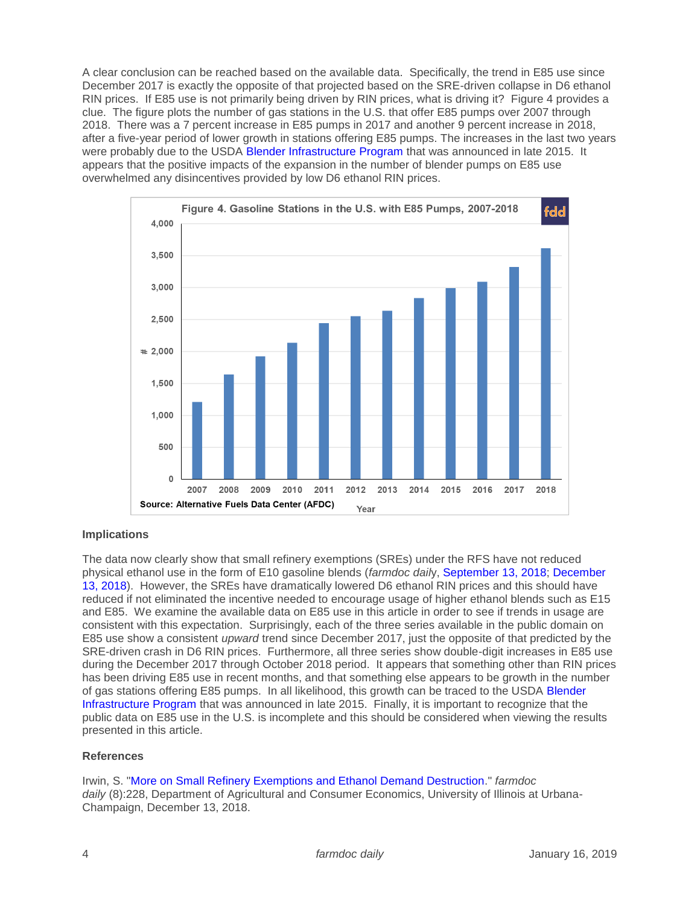A clear conclusion can be reached based on the available data. Specifically, the trend in E85 use since December 2017 is exactly the opposite of that projected based on the SRE-driven collapse in D6 ethanol RIN prices. If E85 use is not primarily being driven by RIN prices, what is driving it? Figure 4 provides a clue. The figure plots the number of gas stations in the U.S. that offer E85 pumps over 2007 through 2018. There was a 7 percent increase in E85 pumps in 2017 and another 9 percent increase in 2018, after a five-year period of lower growth in stations offering E85 pumps. The increases in the last two years were probably due to the USDA [Blender Infrastructure Program](https://www.usda.gov/media/press-releases/2015/10/28/usda-announces-210-million-be-invested-renewable-energy) that was announced in late 2015. It appears that the positive impacts of the expansion in the number of blender pumps on E85 use overwhelmed any disincentives provided by low D6 ethanol RIN prices.



## **Implications**

The data now clearly show that small refinery exemptions (SREs) under the RFS have not reduced physical ethanol use in the form of E10 gasoline blends (*farmdoc dail*y, [September 13, 2018;](https://farmdocdaily.illinois.edu/2018/09/small-refinery-exemptions-and-ethanol-demand-destruction.html) [December](https://farmdocdaily.illinois.edu/2018/12/more-on-small-refinery-exemptions-and-ethanol-demand-destruction.html)  [13, 2018\)](https://farmdocdaily.illinois.edu/2018/12/more-on-small-refinery-exemptions-and-ethanol-demand-destruction.html). However, the SREs have dramatically lowered D6 ethanol RIN prices and this should have reduced if not eliminated the incentive needed to encourage usage of higher ethanol blends such as E15 and E85. We examine the available data on E85 use in this article in order to see if trends in usage are consistent with this expectation. Surprisingly, each of the three series available in the public domain on E85 use show a consistent *upward* trend since December 2017, just the opposite of that predicted by the SRE-driven crash in D6 RIN prices. Furthermore, all three series show double-digit increases in E85 use during the December 2017 through October 2018 period. It appears that something other than RIN prices has been driving E85 use in recent months, and that something else appears to be growth in the number of gas stations offering E85 pumps. In all likelihood, this growth can be traced to the USDA [Blender](https://www.usda.gov/media/press-releases/2015/10/28/usda-announces-210-million-be-invested-renewable-energy)  [Infrastructure Program](https://www.usda.gov/media/press-releases/2015/10/28/usda-announces-210-million-be-invested-renewable-energy) that was announced in late 2015. Finally, it is important to recognize that the public data on E85 use in the U.S. is incomplete and this should be considered when viewing the results presented in this article.

## **References**

Irwin, S. ["More on Small Refinery Exemptions and Ethanol Demand Destruction.](https://farmdocdaily.illinois.edu/2018/12/more-on-small-refinery-exemptions-and-ethanol-demand-destruction.html)" *farmdoc daily* (8):228, Department of Agricultural and Consumer Economics, University of Illinois at Urbana-Champaign, December 13, 2018.